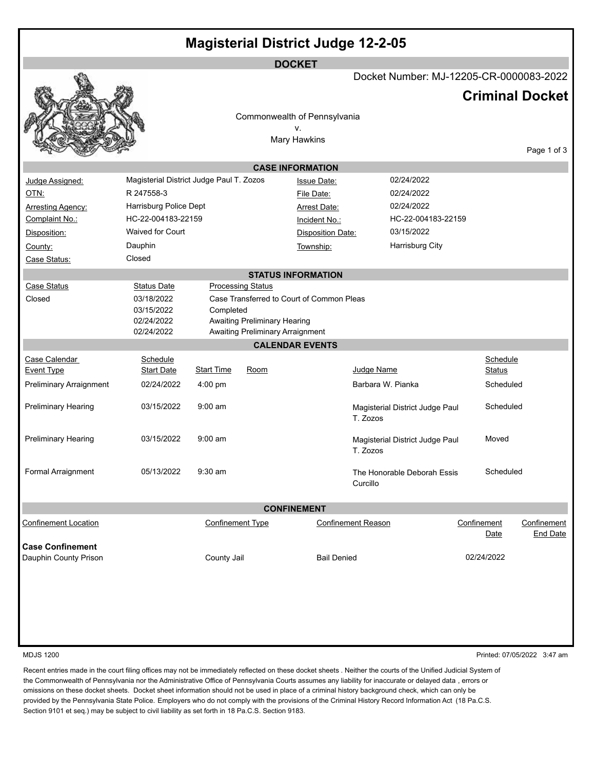| <b>Magisterial District Judge 12-2-05</b>        |                                          |                         |                                  |                                           |                                             |  |             |                        |
|--------------------------------------------------|------------------------------------------|-------------------------|----------------------------------|-------------------------------------------|---------------------------------------------|--|-------------|------------------------|
|                                                  |                                          |                         |                                  | <b>DOCKET</b>                             | Docket Number: MJ-12205-CR-0000083-2022     |  |             |                        |
|                                                  |                                          |                         |                                  |                                           |                                             |  |             | <b>Criminal Docket</b> |
|                                                  |                                          |                         |                                  | Commonwealth of Pennsylvania              |                                             |  |             |                        |
|                                                  |                                          |                         |                                  | ٧.<br>Mary Hawkins                        |                                             |  |             |                        |
|                                                  |                                          |                         |                                  |                                           |                                             |  |             | Page 1 of 3            |
|                                                  |                                          |                         |                                  | <b>CASE INFORMATION</b>                   |                                             |  |             |                        |
| Judge Assigned:                                  | Magisterial District Judge Paul T. Zozos |                         |                                  | <b>Issue Date:</b>                        | 02/24/2022                                  |  |             |                        |
| OTN:                                             | R 247558-3                               |                         |                                  | File Date:                                | 02/24/2022                                  |  |             |                        |
| <b>Arresting Agency:</b>                         | Harrisburg Police Dept                   |                         |                                  | Arrest Date:                              | 02/24/2022                                  |  |             |                        |
| Complaint No.:                                   | HC-22-004183-22159                       |                         |                                  | Incident No.:                             | HC-22-004183-22159                          |  |             |                        |
| Disposition:                                     | Waived for Court                         |                         |                                  | <b>Disposition Date:</b>                  | 03/15/2022                                  |  |             |                        |
| County:                                          | Dauphin                                  |                         |                                  | Township:                                 | <b>Harrisburg City</b>                      |  |             |                        |
| Case Status:                                     | Closed                                   |                         |                                  |                                           |                                             |  |             |                        |
|                                                  |                                          |                         |                                  | <b>STATUS INFORMATION</b>                 |                                             |  |             |                        |
| <b>Case Status</b>                               | <b>Status Date</b>                       |                         | <b>Processing Status</b>         |                                           |                                             |  |             |                        |
| Closed                                           | 03/18/2022                               |                         |                                  | Case Transferred to Court of Common Pleas |                                             |  |             |                        |
|                                                  | 03/15/2022                               | Completed               |                                  |                                           |                                             |  |             |                        |
|                                                  | 02/24/2022                               |                         | Awaiting Preliminary Hearing     |                                           |                                             |  |             |                        |
|                                                  | 02/24/2022                               |                         | Awaiting Preliminary Arraignment |                                           |                                             |  |             |                        |
|                                                  |                                          |                         |                                  | <b>CALENDAR EVENTS</b>                    |                                             |  |             |                        |
| Case Calendar                                    | Schedule                                 |                         |                                  |                                           |                                             |  | Schedule    |                        |
| <b>Event Type</b>                                | <b>Start Date</b>                        | <b>Start Time</b>       | Room                             |                                           | Judge Name                                  |  | Status      |                        |
| <b>Preliminary Arraignment</b>                   | 02/24/2022                               | $4:00$ pm               |                                  |                                           | Barbara W. Pianka                           |  | Scheduled   |                        |
| Preliminary Hearing                              | 03/15/2022                               | $9:00$ am               |                                  |                                           | Magisterial District Judge Paul<br>T. Zozos |  | Scheduled   |                        |
| <b>Preliminary Hearing</b>                       | 03/15/2022                               | $9:00$ am               |                                  |                                           | Magisterial District Judge Paul<br>T. Zozos |  | Moved       |                        |
| Formal Arraignment                               | 05/13/2022                               | $9:30$ am               |                                  |                                           | The Honorable Deborah Essis<br>Curcillo     |  | Scheduled   |                        |
| <b>CONFINEMENT</b>                               |                                          |                         |                                  |                                           |                                             |  |             |                        |
| <b>Confinement Location</b>                      |                                          | <b>Confinement Type</b> |                                  |                                           | <b>Confinement Reason</b>                   |  | Confinement | Confinement            |
|                                                  |                                          |                         |                                  |                                           |                                             |  | <u>Date</u> | <b>End Date</b>        |
| <b>Case Confinement</b><br>Dauphin County Prison |                                          | County Jail             |                                  | <b>Bail Denied</b>                        |                                             |  | 02/24/2022  |                        |
|                                                  |                                          |                         |                                  |                                           |                                             |  |             |                        |
|                                                  |                                          |                         |                                  |                                           |                                             |  |             |                        |

MDJS 1200 Printed: 07/05/2022 3:47 am

Recent entries made in the court filing offices may not be immediately reflected on these docket sheets . Neither the courts of the Unified Judicial System of the Commonwealth of Pennsylvania nor the Administrative Office of Pennsylvania Courts assumes any liability for inaccurate or delayed data , errors or omissions on these docket sheets. Docket sheet information should not be used in place of a criminal history background check, which can only be provided by the Pennsylvania State Police. Employers who do not comply with the provisions of the Criminal History Record Information Act (18 Pa.C.S. Section 9101 et seq.) may be subject to civil liability as set forth in 18 Pa.C.S. Section 9183.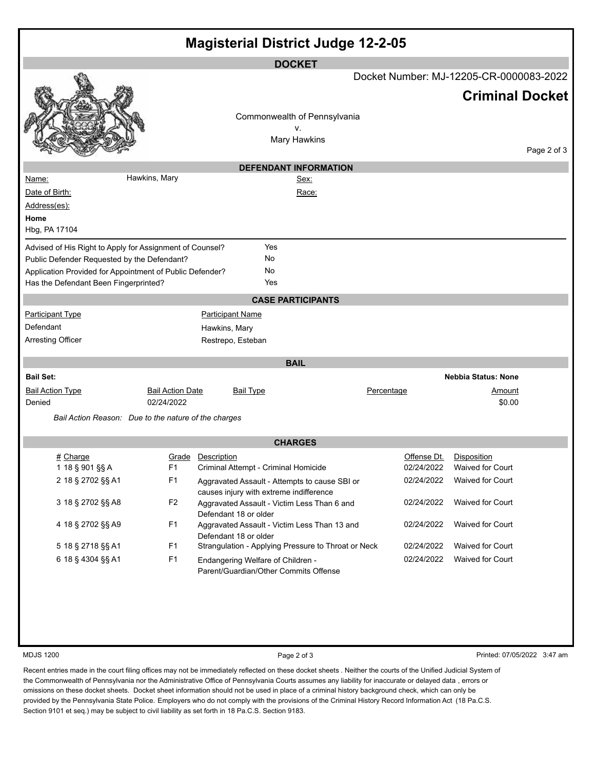| <b>Magisterial District Judge 12-2-05</b>                |                         |                                                                                          |                                    |             |                                                                   |
|----------------------------------------------------------|-------------------------|------------------------------------------------------------------------------------------|------------------------------------|-------------|-------------------------------------------------------------------|
|                                                          |                         |                                                                                          | <b>DOCKET</b>                      |             |                                                                   |
|                                                          |                         |                                                                                          |                                    |             | Docket Number: MJ-12205-CR-0000083-2022<br><b>Criminal Docket</b> |
|                                                          |                         |                                                                                          |                                    |             |                                                                   |
|                                                          |                         |                                                                                          | Commonwealth of Pennsylvania<br>V. |             |                                                                   |
|                                                          |                         |                                                                                          | <b>Mary Hawkins</b>                |             | Page 2 of 3                                                       |
|                                                          |                         |                                                                                          | <b>DEFENDANT INFORMATION</b>       |             |                                                                   |
| Name:                                                    | Hawkins, Mary           |                                                                                          | Sex:                               |             |                                                                   |
| Date of Birth:                                           |                         |                                                                                          | Race:                              |             |                                                                   |
| Address(es):                                             |                         |                                                                                          |                                    |             |                                                                   |
| Home<br>Hbg, PA 17104                                    |                         |                                                                                          |                                    |             |                                                                   |
| Advised of His Right to Apply for Assignment of Counsel? |                         | Yes                                                                                      |                                    |             |                                                                   |
| Public Defender Requested by the Defendant?              |                         | No                                                                                       |                                    |             |                                                                   |
| Application Provided for Appointment of Public Defender? |                         | No                                                                                       |                                    |             |                                                                   |
| Has the Defendant Been Fingerprinted?                    |                         | Yes                                                                                      |                                    |             |                                                                   |
|                                                          |                         |                                                                                          | <b>CASE PARTICIPANTS</b>           |             |                                                                   |
| <b>Participant Type</b>                                  |                         | <b>Participant Name</b>                                                                  |                                    |             |                                                                   |
| Defendant                                                |                         | Hawkins, Mary                                                                            |                                    |             |                                                                   |
| <b>Arresting Officer</b>                                 |                         | Restrepo, Esteban                                                                        |                                    |             |                                                                   |
|                                                          |                         |                                                                                          | <b>BAIL</b>                        |             |                                                                   |
| <b>Bail Set:</b>                                         |                         |                                                                                          |                                    |             | <b>Nebbia Status: None</b>                                        |
| <b>Bail Action Type</b>                                  | <b>Bail Action Date</b> | <b>Bail Type</b>                                                                         |                                    | Percentage  | <u>Amount</u>                                                     |
| Denied                                                   | 02/24/2022              |                                                                                          |                                    | \$0.00      |                                                                   |
| Bail Action Reason: Due to the nature of the charges     |                         |                                                                                          |                                    |             |                                                                   |
|                                                          |                         |                                                                                          | <b>CHARGES</b>                     |             |                                                                   |
| # Charge                                                 |                         | Grade Description                                                                        |                                    | Offense Dt. | Disposition                                                       |
| 1 18 § 901 §§ A                                          | F <sub>1</sub>          | Criminal Attempt - Criminal Homicide                                                     |                                    |             | 02/24/2022 Waived for Court                                       |
| 2 18 § 2702 §§ A1                                        | F <sub>1</sub>          | Aggravated Assault - Attempts to cause SBI or<br>causes injury with extreme indifference |                                    | 02/24/2022  | Waived for Court                                                  |
| 3 18 § 2702 §§ A8                                        | F <sub>2</sub>          | Aggravated Assault - Victim Less Than 6 and<br>Defendant 18 or older                     |                                    | 02/24/2022  | Waived for Court                                                  |
| 4 18 § 2702 §§ A9                                        | F <sub>1</sub>          | Aggravated Assault - Victim Less Than 13 and<br>Defendant 18 or older                    |                                    | 02/24/2022  | Waived for Court                                                  |
| 5 18 § 2718 §§ A1                                        | F <sub>1</sub>          | Strangulation - Applying Pressure to Throat or Neck                                      |                                    | 02/24/2022  | Waived for Court                                                  |
| 6 18 § 4304 §§ A1                                        | F <sub>1</sub>          | Endangering Welfare of Children -<br>Parent/Guardian/Other Commits Offense               |                                    | 02/24/2022  | Waived for Court                                                  |
|                                                          |                         |                                                                                          |                                    |             |                                                                   |

MDJS 1200 **Page 2 of 3** Printed: 07/05/2022 3:47 am

Recent entries made in the court filing offices may not be immediately reflected on these docket sheets . Neither the courts of the Unified Judicial System of the Commonwealth of Pennsylvania nor the Administrative Office of Pennsylvania Courts assumes any liability for inaccurate or delayed data , errors or omissions on these docket sheets. Docket sheet information should not be used in place of a criminal history background check, which can only be provided by the Pennsylvania State Police. Employers who do not comply with the provisions of the Criminal History Record Information Act (18 Pa.C.S. Section 9101 et seq.) may be subject to civil liability as set forth in 18 Pa.C.S. Section 9183.